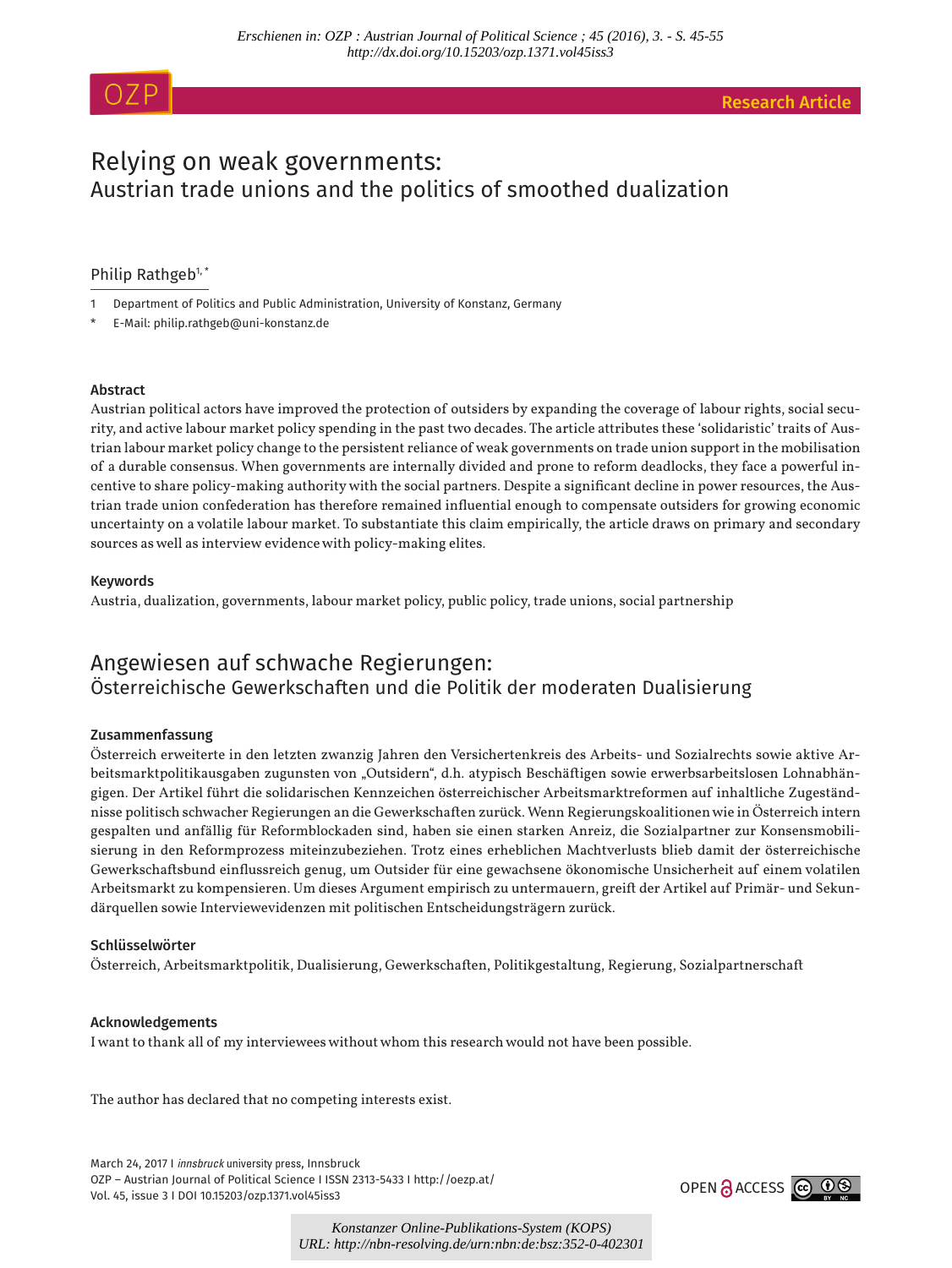# Relying on weak governments: Austrian trade unions and the politics of smoothed dualization

# Philip Rathgeb<sup>1,\*</sup>

- 1 Department of Politics and Public Administration, University of Konstanz, Germany
- E-Mail: philip.rathgeb@uni-konstanz.de

# Abstract

Austrian political actors have improved the protection of outsiders by expanding the coverage of labour rights, social security, and active labour market policy spending in the past two decades. The article attributes these 'solidaristic' traits of Austrian labour market policy change to the persistent reliance of weak governments on trade union support in the mobilisation of a durable consensus. When governments are internally divided and prone to reform deadlocks, they face a powerful incentive to share policy-making authority with the social partners. Despite a significant decline in power resources, the Austrian trade union confederation has therefore remained influential enough to compensate outsiders for growing economic uncertainty on a volatile labour market. To substantiate this claim empirically, the article draws on primary and secondary sources as well as interview evidence with policy-making elites.

# Keywords

Austria, dualization, governments, labour market policy, public policy, trade unions, social partnership

# Angewiesen auf schwache Regierungen: Österreichische Gewerkschaften und die Politik der moderaten Dualisierung

# Zusammenfassung

Österreich erweiterte in den letzten zwanzig Jahren den Versichertenkreis des Arbeits- und Sozialrechts sowie aktive Arbeitsmarktpolitikausgaben zugunsten von "Outsidern", d.h. atypisch Beschäftigen sowie erwerbsarbeitslosen Lohnabhängigen. Der Artikel führt die solidarischen Kennzeichen österreichischer Arbeitsmarktreformen auf inhaltliche Zugeständnisse politisch schwacher Regierungen an die Gewerkschaften zurück. Wenn Regierungskoalitionen wie in Österreich intern gespalten und anfällig für Reformblockaden sind, haben sie einen starken Anreiz, die Sozialpartner zur Konsensmobilisierung in den Reformprozess miteinzubeziehen. Trotz eines erheblichen Machtverlusts blieb damit der österreichische Gewerkschaftsbund einflussreich genug, um Outsider für eine gewachsene ökonomische Unsicherheit auf einem volatilen Arbeitsmarkt zu kompensieren. Um dieses Argument empirisch zu untermauern, greift der Artikel auf Primär- und Sekundärquellen sowie Interviewevidenzen mit politischen Entscheidungsträgern zurück.

# Schlüsselwörter

Österreich, Arbeitsmarktpolitik, Dualisierung, Gewerkschaften, Politikgestaltung, Regierung, Sozialpartnerschaft

# Acknowledgements

I want to thank all of my interviewees without whom this research would not have been possible.

The author has declared that no competing interests exist.

March 24, 2017 I *innsbruck* university press, Innsbruck OZP – Austrian Journal of Political Science I ISSN 2313-5433 I http://oezp.at/ Vol. 45, issue 3 I DOI 10.15203/ozp.1371.vol45iss3



*Konstanzer Online-Publikations-System (KOPS) URL: http://nbn-resolving.de/urn:nbn:de:bsz:352-0-402301*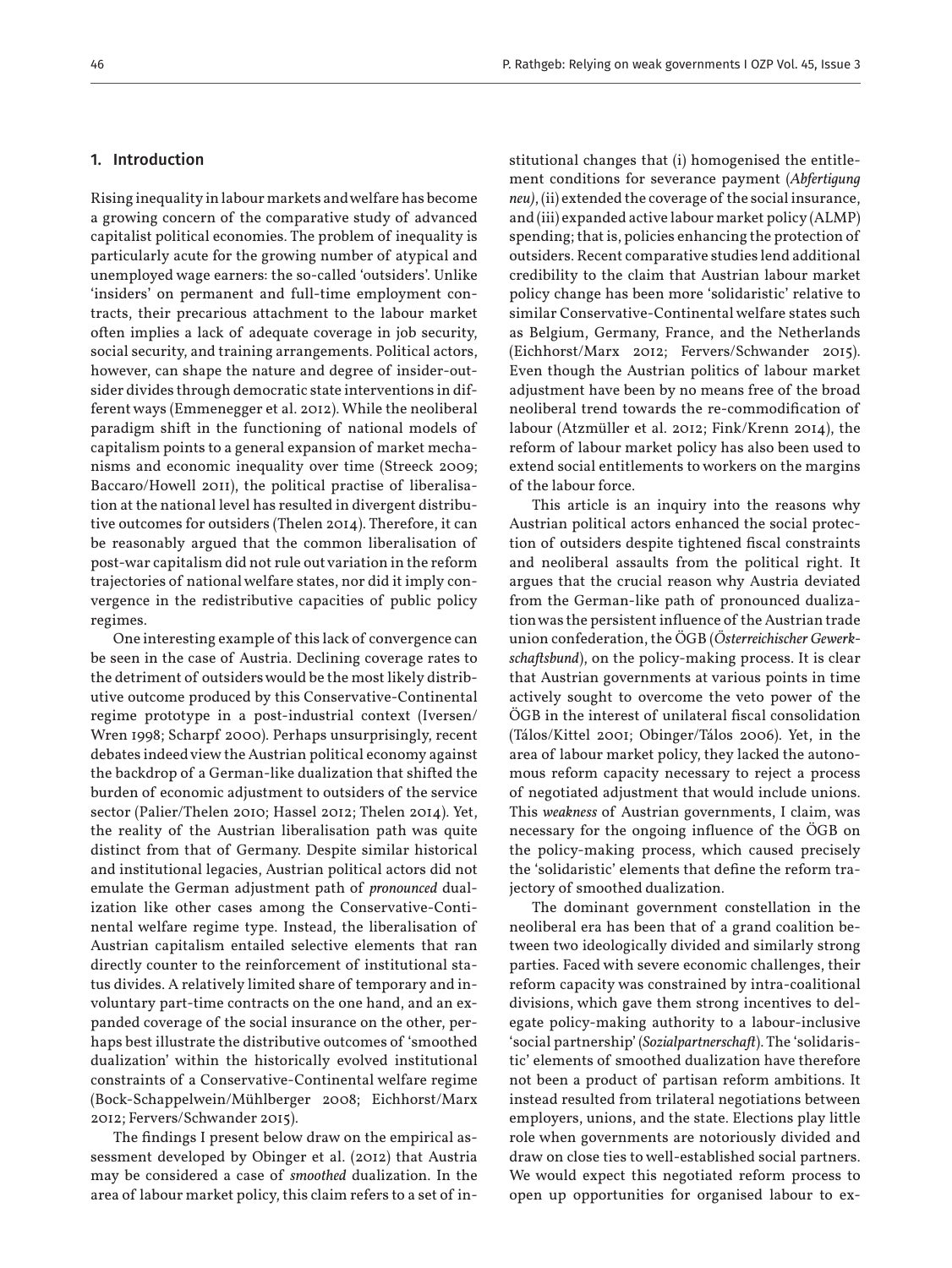#### 1. Introduction

Rising inequality in labour markets and welfare has become a growing concern of the comparative study of advanced capitalist political economies. The problem of inequality is particularly acute for the growing number of atypical and unemployed wage earners: the so-called 'outsiders'. Unlike 'insiders' on permanent and full-time employment contracts, their precarious attachment to the labour market often implies a lack of adequate coverage in job security, social security, and training arrangements. Political actors, however, can shape the nature and degree of insider-outsider divides through democratic state interventions in different ways (Emmenegger et al. 2012). While the neoliberal paradigm shift in the functioning of national models of capitalism points to a general expansion of market mechanisms and economic inequality over time (Streeck 2009; Baccaro/Howell 2011), the political practise of liberalisation at the national level has resulted in divergent distributive outcomes for outsiders (Thelen 2014). Therefore, it can be reasonably argued that the common liberalisation of post-war capitalism did not rule out variation in the reform trajectories of national welfare states, nor did it imply convergence in the redistributive capacities of public policy regimes.

One interesting example of this lack of convergence can be seen in the case of Austria. Declining coverage rates to the detriment of outsiders would be the most likely distributive outcome produced by this Conservative-Continental regime prototype in a post-industrial context (Iversen/ Wren 1998; Scharpf 2000). Perhaps unsurprisingly, recent debates indeed view the Austrian political economy against the backdrop of a German-like dualization that shifted the burden of economic adjustment to outsiders of the service sector (Palier/Thelen 2010; Hassel 2012; Thelen 2014). Yet, the reality of the Austrian liberalisation path was quite distinct from that of Germany. Despite similar historical and institutional legacies, Austrian political actors did not emulate the German adjustment path of *pronounced* dualization like other cases among the Conservative-Continental welfare regime type. Instead, the liberalisation of Austrian capitalism entailed selective elements that ran directly counter to the reinforcement of institutional status divides. A relatively limited share of temporary and involuntary part-time contracts on the one hand, and an expanded coverage of the social insurance on the other, perhaps best illustrate the distributive outcomes of 'smoothed dualization' within the historically evolved institutional constraints of a Conservative-Continental welfare regime (Bock-Schappelwein/Mühlberger 2008; Eichhorst/Marx 2012; Fervers/Schwander 2015).

The findings I present below draw on the empirical assessment developed by Obinger et al. (2012) that Austria may be considered a case of *smoothed* dualization. In the area of labour market policy, this claim refers to a set of institutional changes that (i) homogenised the entitlement conditions for severance payment (*Abfertigung neu)*, (ii) extended the coverage of the social insurance, and (iii) expanded active labour market policy (ALMP) spending; that is, policies enhancing the protection of outsiders. Recent comparative studies lend additional credibility to the claim that Austrian labour market policy change has been more 'solidaristic' relative to similar Conservative-Continental welfare states such as Belgium, Germany, France, and the Netherlands (Eichhorst/Marx 2012; Fervers/Schwander 2015). Even though the Austrian politics of labour market adjustment have been by no means free of the broad neoliberal trend towards the re-commodification of labour (Atzmüller et al. 2012; Fink/Krenn 2014), the reform of labour market policy has also been used to extend social entitlements to workers on the margins of the labour force.

This article is an inquiry into the reasons why Austrian political actors enhanced the social protection of outsiders despite tightened fiscal constraints and neoliberal assaults from the political right. It argues that the crucial reason why Austria deviated from the German-like path of pronounced dualization was the persistent influence of the Austrian trade union confederation, the ÖGB (*Österreichischer Gewerkschaftsbund*), on the policy-making process. It is clear that Austrian governments at various points in time actively sought to overcome the veto power of the ÖGB in the interest of unilateral fiscal consolidation (Tálos/Kittel 2001; Obinger/Tálos 2006). Yet, in the area of labour market policy, they lacked the autonomous reform capacity necessary to reject a process of negotiated adjustment that would include unions. This *weakness* of Austrian governments, I claim, was necessary for the ongoing influence of the ÖGB on the policy-making process, which caused precisely the 'solidaristic' elements that define the reform trajectory of smoothed dualization.

The dominant government constellation in the neoliberal era has been that of a grand coalition between two ideologically divided and similarly strong parties. Faced with severe economic challenges, their reform capacity was constrained by intra-coalitional divisions, which gave them strong incentives to delegate policy-making authority to a labour-inclusive 'social partnership' (*Sozialpartnerschaft*). The 'solidaristic' elements of smoothed dualization have therefore not been a product of partisan reform ambitions. It instead resulted from trilateral negotiations between employers, unions, and the state. Elections play little role when governments are notoriously divided and draw on close ties to well-established social partners. We would expect this negotiated reform process to open up opportunities for organised labour to ex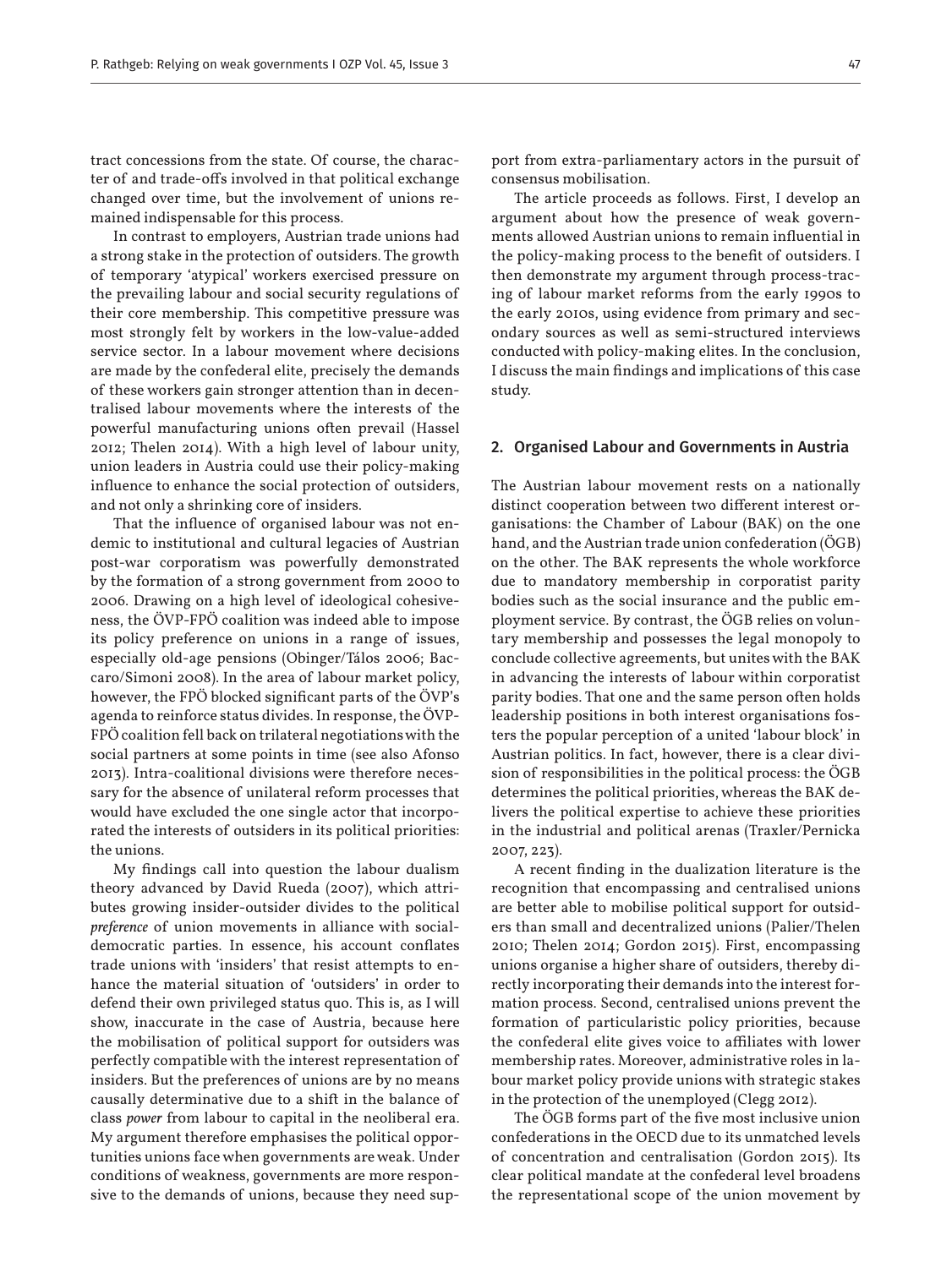tract concessions from the state. Of course, the character of and trade-offs involved in that political exchange changed over time, but the involvement of unions remained indispensable for this process.

In contrast to employers, Austrian trade unions had a strong stake in the protection of outsiders. The growth of temporary 'atypical' workers exercised pressure on the prevailing labour and social security regulations of their core membership. This competitive pressure was most strongly felt by workers in the low-value-added service sector. In a labour movement where decisions are made by the confederal elite, precisely the demands of these workers gain stronger attention than in decentralised labour movements where the interests of the powerful manufacturing unions often prevail (Hassel 2012; Thelen 2014). With a high level of labour unity, union leaders in Austria could use their policy-making influence to enhance the social protection of outsiders, and not only a shrinking core of insiders.

That the influence of organised labour was not endemic to institutional and cultural legacies of Austrian post-war corporatism was powerfully demonstrated by the formation of a strong government from 2000 to 2006. Drawing on a high level of ideological cohesiveness, the ÖVP-FPÖ coalition was indeed able to impose its policy preference on unions in a range of issues, especially old-age pensions (Obinger/Tálos 2006; Baccaro/Simoni 2008). In the area of labour market policy, however, the FPÖ blocked significant parts of the ÖVP's agenda to reinforce status divides. In response, the ÖVP-FPÖ coalition fell back on trilateral negotiations with the social partners at some points in time (see also Afonso 2013). Intra-coalitional divisions were therefore necessary for the absence of unilateral reform processes that would have excluded the one single actor that incorporated the interests of outsiders in its political priorities: the unions.

My findings call into question the labour dualism theory advanced by David Rueda (2007), which attributes growing insider-outsider divides to the political *preference* of union movements in alliance with socialdemocratic parties. In essence, his account conflates trade unions with 'insiders' that resist attempts to enhance the material situation of 'outsiders' in order to defend their own privileged status quo. This is, as I will show, inaccurate in the case of Austria, because here the mobilisation of political support for outsiders was perfectly compatible with the interest representation of insiders. But the preferences of unions are by no means causally determinative due to a shift in the balance of class *power* from labour to capital in the neoliberal era. My argument therefore emphasises the political opportunities unions face when governments are weak. Under conditions of weakness, governments are more responsive to the demands of unions, because they need support from extra-parliamentary actors in the pursuit of consensus mobilisation.

The article proceeds as follows. First, I develop an argument about how the presence of weak governments allowed Austrian unions to remain influential in the policy-making process to the benefit of outsiders. I then demonstrate my argument through process-tracing of labour market reforms from the early 1990s to the early 2010s, using evidence from primary and secondary sources as well as semi-structured interviews conducted with policy-making elites. In the conclusion, I discuss the main findings and implications of this case study.

#### 2. Organised Labour and Governments in Austria

The Austrian labour movement rests on a nationally distinct cooperation between two different interest organisations: the Chamber of Labour (BAK) on the one hand, and the Austrian trade union confederation (ÖGB) on the other. The BAK represents the whole workforce due to mandatory membership in corporatist parity bodies such as the social insurance and the public employment service. By contrast, the ÖGB relies on voluntary membership and possesses the legal monopoly to conclude collective agreements, but unites with the BAK in advancing the interests of labour within corporatist parity bodies. That one and the same person often holds leadership positions in both interest organisations fosters the popular perception of a united 'labour block' in Austrian politics. In fact, however, there is a clear division of responsibilities in the political process: the ÖGB determines the political priorities, whereas the BAK delivers the political expertise to achieve these priorities in the industrial and political arenas (Traxler/Pernicka 2007, 223).

A recent finding in the dualization literature is the recognition that encompassing and centralised unions are better able to mobilise political support for outsiders than small and decentralized unions (Palier/Thelen 2010; Thelen 2014; Gordon 2015). First, encompassing unions organise a higher share of outsiders, thereby directly incorporating their demands into the interest formation process. Second, centralised unions prevent the formation of particularistic policy priorities, because the confederal elite gives voice to affiliates with lower membership rates. Moreover, administrative roles in labour market policy provide unions with strategic stakes in the protection of the unemployed (Clegg 2012).

The ÖGB forms part of the five most inclusive union confederations in the OECD due to its unmatched levels of concentration and centralisation (Gordon 2015). Its clear political mandate at the confederal level broadens the representational scope of the union movement by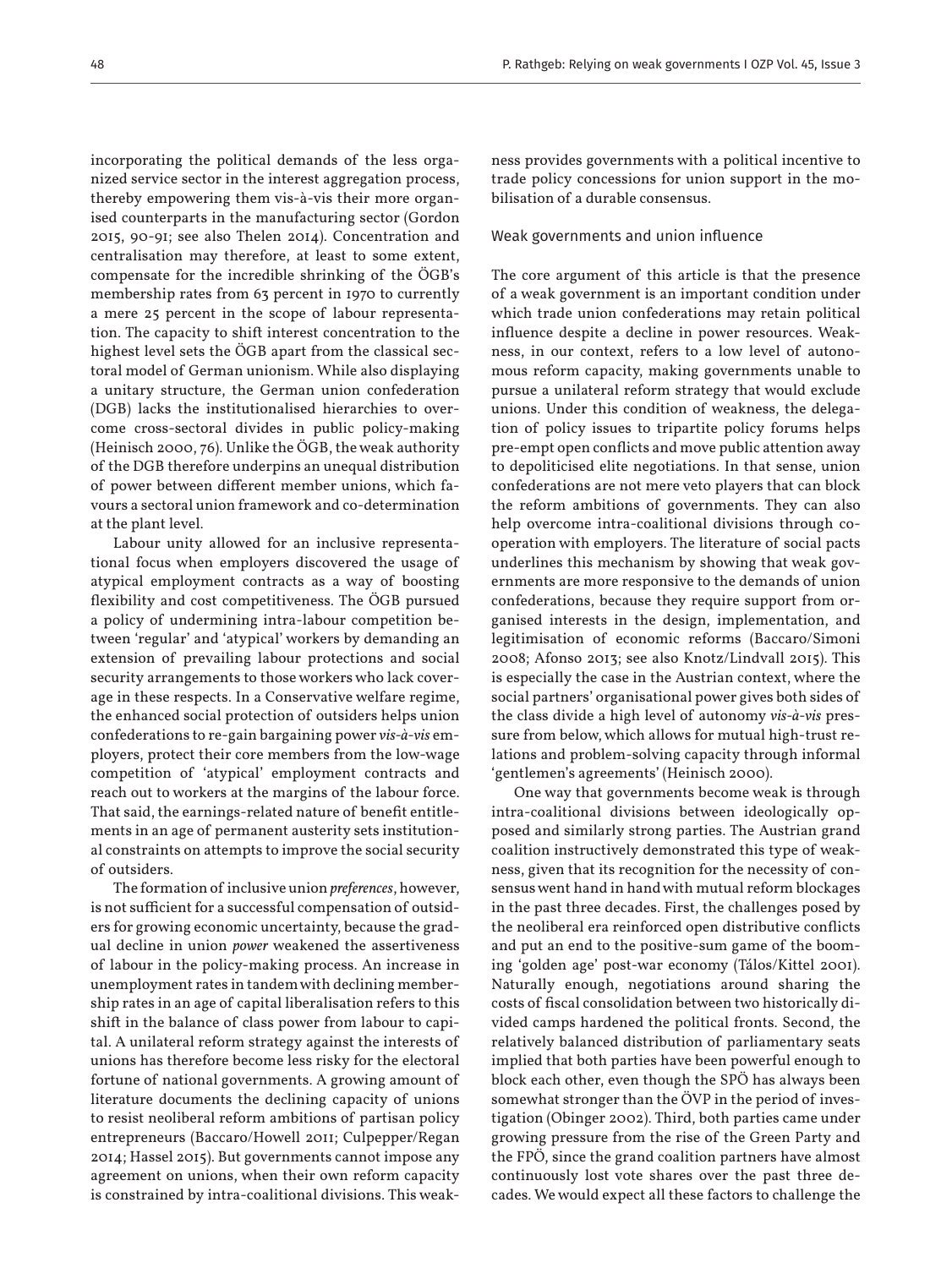incorporating the political demands of the less organized service sector in the interest aggregation process, thereby empowering them vis-à-vis their more organised counterparts in the manufacturing sector (Gordon 2015, 90-91; see also Thelen 2014). Concentration and centralisation may therefore, at least to some extent, compensate for the incredible shrinking of the ÖGB's membership rates from 63 percent in 1970 to currently a mere 25 percent in the scope of labour representation. The capacity to shift interest concentration to the highest level sets the ÖGB apart from the classical sectoral model of German unionism. While also displaying a unitary structure, the German union confederation (DGB) lacks the institutionalised hierarchies to overcome cross-sectoral divides in public policy-making (Heinisch 2000, 76). Unlike the ÖGB, the weak authority of the DGB therefore underpins an unequal distribution of power between different member unions, which favours a sectoral union framework and co-determination at the plant level.

Labour unity allowed for an inclusive representational focus when employers discovered the usage of atypical employment contracts as a way of boosting flexibility and cost competitiveness. The ÖGB pursued a policy of undermining intra-labour competition between 'regular' and 'atypical' workers by demanding an extension of prevailing labour protections and social security arrangements to those workers who lack coverage in these respects. In a Conservative welfare regime, the enhanced social protection of outsiders helps union confederations to re-gain bargaining power *vis-à-vis* employers, protect their core members from the low-wage competition of 'atypical' employment contracts and reach out to workers at the margins of the labour force. That said, the earnings-related nature of benefit entitlements in an age of permanent austerity sets institutional constraints on attempts to improve the social security of outsiders.

The formation of inclusive union *preferences*, however, is not sufficient for a successful compensation of outsiders for growing economic uncertainty, because the gradual decline in union *power* weakened the assertiveness of labour in the policy-making process. An increase in unemployment rates in tandem with declining membership rates in an age of capital liberalisation refers to this shift in the balance of class power from labour to capital. A unilateral reform strategy against the interests of unions has therefore become less risky for the electoral fortune of national governments. A growing amount of literature documents the declining capacity of unions to resist neoliberal reform ambitions of partisan policy entrepreneurs (Baccaro/Howell 2011; Culpepper/Regan 2014; Hassel 2015). But governments cannot impose any agreement on unions, when their own reform capacity is constrained by intra-coalitional divisions. This weakness provides governments with a political incentive to trade policy concessions for union support in the mobilisation of a durable consensus.

#### Weak governments and union influence

The core argument of this article is that the presence of a weak government is an important condition under which trade union confederations may retain political influence despite a decline in power resources. Weakness, in our context, refers to a low level of autonomous reform capacity, making governments unable to pursue a unilateral reform strategy that would exclude unions. Under this condition of weakness, the delegation of policy issues to tripartite policy forums helps pre-empt open conflicts and move public attention away to depoliticised elite negotiations. In that sense, union confederations are not mere veto players that can block the reform ambitions of governments. They can also help overcome intra-coalitional divisions through cooperation with employers. The literature of social pacts underlines this mechanism by showing that weak governments are more responsive to the demands of union confederations, because they require support from organised interests in the design, implementation, and legitimisation of economic reforms (Baccaro/Simoni 2008; Afonso 2013; see also Knotz/Lindvall 2015). This is especially the case in the Austrian context, where the social partners' organisational power gives both sides of the class divide a high level of autonomy *vis-à-vis* pressure from below, which allows for mutual high-trust relations and problem-solving capacity through informal 'gentlemen's agreements' (Heinisch 2000).

One way that governments become weak is through intra-coalitional divisions between ideologically opposed and similarly strong parties. The Austrian grand coalition instructively demonstrated this type of weakness, given that its recognition for the necessity of consensus went hand in hand with mutual reform blockages in the past three decades. First, the challenges posed by the neoliberal era reinforced open distributive conflicts and put an end to the positive-sum game of the booming 'golden age' post-war economy (Tálos/Kittel 2001). Naturally enough, negotiations around sharing the costs of fiscal consolidation between two historically divided camps hardened the political fronts. Second, the relatively balanced distribution of parliamentary seats implied that both parties have been powerful enough to block each other, even though the SPÖ has always been somewhat stronger than the ÖVP in the period of investigation (Obinger 2002). Third, both parties came under growing pressure from the rise of the Green Party and the FPÖ, since the grand coalition partners have almost continuously lost vote shares over the past three decades. We would expect all these factors to challenge the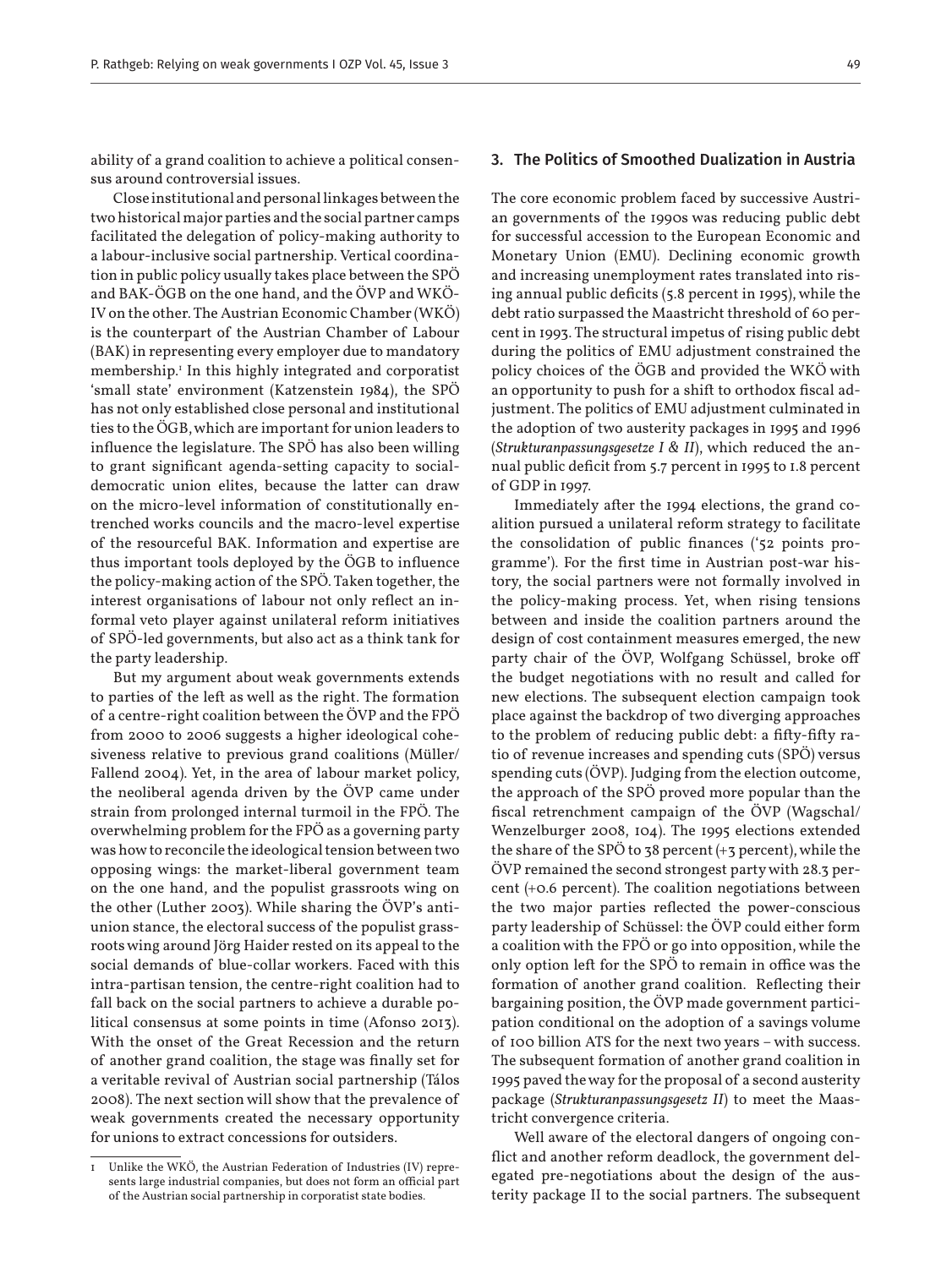ability of a grand coalition to achieve a political consensus around controversial issues.

Close institutional and personal linkages between the two historical major parties and the social partner camps facilitated the delegation of policy-making authority to a labour-inclusive social partnership. Vertical coordination in public policy usually takes place between the SPÖ and BAK-ÖGB on the one hand, and the ÖVP and WKÖ-IV on the other. The Austrian Economic Chamber (WKÖ) is the counterpart of the Austrian Chamber of Labour (BAK) in representing every employer due to mandatory membership.1 In this highly integrated and corporatist 'small state' environment (Katzenstein 1984), the SPÖ has not only established close personal and institutional ties to the ÖGB, which are important for union leaders to influence the legislature. The SPÖ has also been willing to grant significant agenda-setting capacity to socialdemocratic union elites, because the latter can draw on the micro-level information of constitutionally entrenched works councils and the macro-level expertise of the resourceful BAK. Information and expertise are thus important tools deployed by the ÖGB to influence the policy-making action of the SPÖ. Taken together, the interest organisations of labour not only reflect an informal veto player against unilateral reform initiatives of SPÖ-led governments, but also act as a think tank for the party leadership.

But my argument about weak governments extends to parties of the left as well as the right. The formation of a centre-right coalition between the ÖVP and the FPÖ from 2000 to 2006 suggests a higher ideological cohesiveness relative to previous grand coalitions (Müller/ Fallend 2004). Yet, in the area of labour market policy, the neoliberal agenda driven by the ÖVP came under strain from prolonged internal turmoil in the FPÖ. The overwhelming problem for the FPÖ as a governing party was how to reconcile the ideological tension between two opposing wings: the market-liberal government team on the one hand, and the populist grassroots wing on the other (Luther 2003). While sharing the ÖVP's antiunion stance, the electoral success of the populist grassroots wing around Jörg Haider rested on its appeal to the social demands of blue-collar workers. Faced with this intra-partisan tension, the centre-right coalition had to fall back on the social partners to achieve a durable political consensus at some points in time (Afonso 2013). With the onset of the Great Recession and the return of another grand coalition, the stage was finally set for a veritable revival of Austrian social partnership (Tálos 2008). The next section will show that the prevalence of weak governments created the necessary opportunity for unions to extract concessions for outsiders.

#### 3. The Politics of Smoothed Dualization in Austria

The core economic problem faced by successive Austrian governments of the 1990s was reducing public debt for successful accession to the European Economic and Monetary Union (EMU). Declining economic growth and increasing unemployment rates translated into rising annual public deficits (5.8 percent in 1995), while the debt ratio surpassed the Maastricht threshold of 60 percent in 1993. The structural impetus of rising public debt during the politics of EMU adjustment constrained the policy choices of the ÖGB and provided the WKÖ with an opportunity to push for a shift to orthodox fiscal adjustment. The politics of EMU adjustment culminated in the adoption of two austerity packages in 1995 and 1996 (*Strukturanpassungsgesetze I & II*), which reduced the annual public deficit from 5.7 percent in 1995 to 1.8 percent of GDP in 1997.

Immediately after the 1994 elections, the grand coalition pursued a unilateral reform strategy to facilitate the consolidation of public finances ('52 points programme'). For the first time in Austrian post-war history, the social partners were not formally involved in the policy-making process. Yet, when rising tensions between and inside the coalition partners around the design of cost containment measures emerged, the new party chair of the ÖVP, Wolfgang Schüssel, broke off the budget negotiations with no result and called for new elections. The subsequent election campaign took place against the backdrop of two diverging approaches to the problem of reducing public debt: a fifty-fifty ratio of revenue increases and spending cuts (SPÖ) versus spending cuts (ÖVP). Judging from the election outcome, the approach of the SPÖ proved more popular than the fiscal retrenchment campaign of the ÖVP (Wagschal/ Wenzelburger 2008, 104). The 1995 elections extended the share of the SPÖ to 38 percent  $(+3$  percent), while the ÖVP remained the second strongest party with 28.3 percent (+0.6 percent). The coalition negotiations between the two major parties reflected the power-conscious party leadership of Schüssel: the ÖVP could either form a coalition with the FPÖ or go into opposition, while the only option left for the SPÖ to remain in office was the formation of another grand coalition. Reflecting their bargaining position, the ÖVP made government participation conditional on the adoption of a savings volume of 100 billion ATS for the next two years – with success. The subsequent formation of another grand coalition in 1995 paved the way for the proposal of a second austerity package (*Strukturanpassungsgesetz II*) to meet the Maastricht convergence criteria.

Well aware of the electoral dangers of ongoing conflict and another reform deadlock, the government delegated pre-negotiations about the design of the austerity package II to the social partners. The subsequent

Unlike the WKÖ, the Austrian Federation of Industries (IV) represents large industrial companies, but does not form an official part of the Austrian social partnership in corporatist state bodies.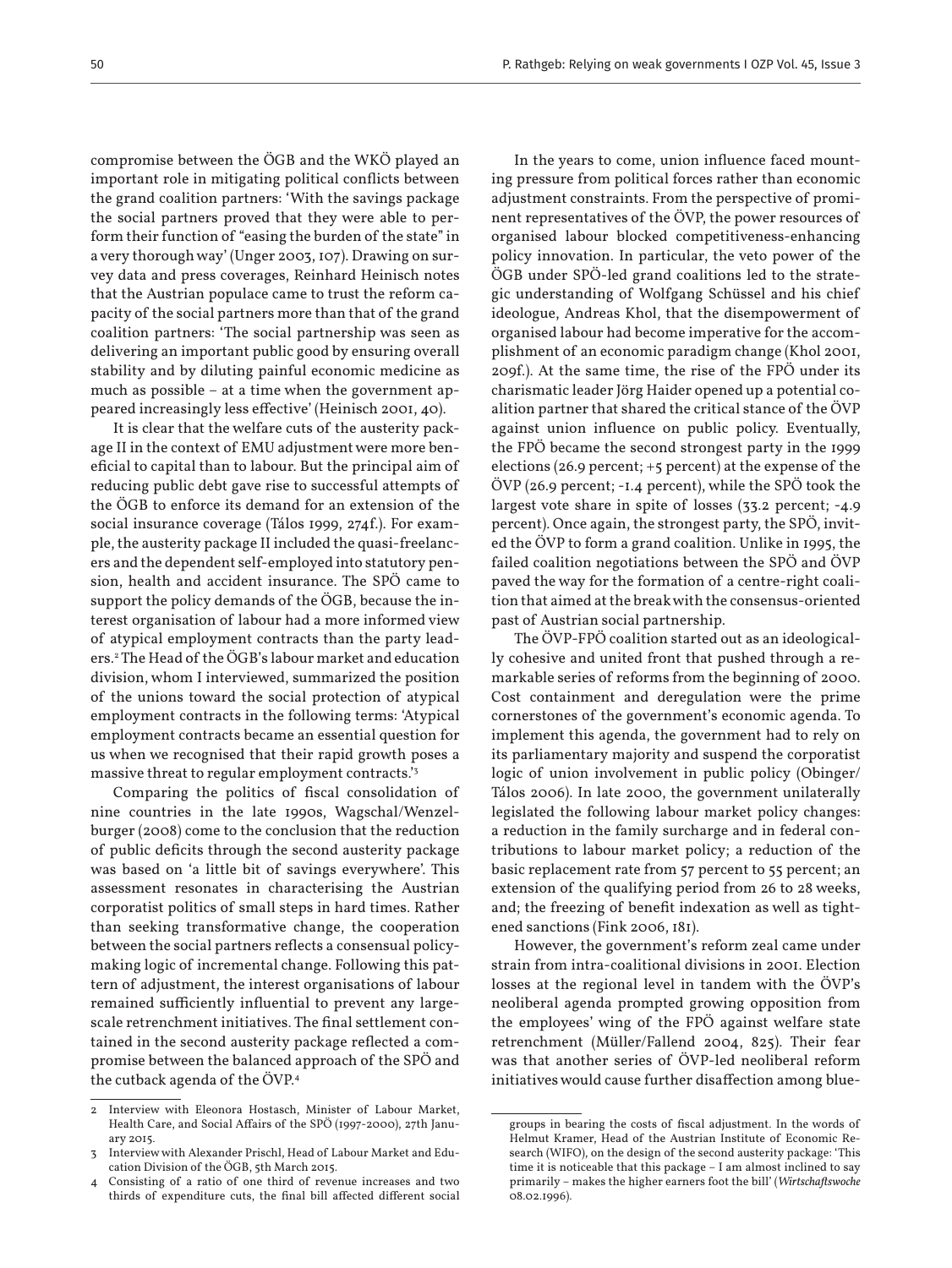compromise between the ÖGB and the WKÖ played an important role in mitigating political conflicts between the grand coalition partners: 'With the savings package the social partners proved that they were able to perform their function of "easing the burden of the state" in a very thorough way' (Unger 2003, 107). Drawing on survey data and press coverages, Reinhard Heinisch notes that the Austrian populace came to trust the reform capacity of the social partners more than that of the grand coalition partners: 'The social partnership was seen as delivering an important public good by ensuring overall stability and by diluting painful economic medicine as much as possible – at a time when the government appeared increasingly less effective' (Heinisch 2001, 40).

It is clear that the welfare cuts of the austerity package II in the context of EMU adjustment were more beneficial to capital than to labour. But the principal aim of reducing public debt gave rise to successful attempts of the ÖGB to enforce its demand for an extension of the social insurance coverage (Tálos 1999, 274f.). For example, the austerity package II included the quasi-freelancers and the dependent self-employed into statutory pension, health and accident insurance. The SPÖ came to support the policy demands of the ÖGB, because the interest organisation of labour had a more informed view of atypical employment contracts than the party leaders.2 The Head of the ÖGB's labour market and education division, whom I interviewed, summarized the position of the unions toward the social protection of atypical employment contracts in the following terms: 'Atypical employment contracts became an essential question for us when we recognised that their rapid growth poses a massive threat to regular employment contracts.'3

Comparing the politics of fiscal consolidation of nine countries in the late 1990s, Wagschal/Wenzelburger (2008) come to the conclusion that the reduction of public deficits through the second austerity package was based on 'a little bit of savings everywhere'. This assessment resonates in characterising the Austrian corporatist politics of small steps in hard times. Rather than seeking transformative change, the cooperation between the social partners reflects a consensual policymaking logic of incremental change. Following this pattern of adjustment, the interest organisations of labour remained sufficiently influential to prevent any largescale retrenchment initiatives. The final settlement contained in the second austerity package reflected a compromise between the balanced approach of the SPÖ and the cutback agenda of the ÖVP.<sup>4</sup>

In the years to come, union influence faced mounting pressure from political forces rather than economic adjustment constraints. From the perspective of prominent representatives of the ÖVP, the power resources of organised labour blocked competitiveness-enhancing policy innovation. In particular, the veto power of the ÖGB under SPÖ-led grand coalitions led to the strategic understanding of Wolfgang Schüssel and his chief ideologue, Andreas Khol, that the disempowerment of organised labour had become imperative for the accomplishment of an economic paradigm change (Khol 2001, 209f.). At the same time, the rise of the FPÖ under its charismatic leader Jörg Haider opened up a potential coalition partner that shared the critical stance of the ÖVP against union influence on public policy. Eventually, the FPÖ became the second strongest party in the 1999 elections (26.9 percent; +5 percent) at the expense of the ÖVP (26.9 percent; -1.4 percent), while the SPÖ took the largest vote share in spite of losses (33.2 percent; -4.9 percent). Once again, the strongest party, the SPÖ, invited the ÖVP to form a grand coalition. Unlike in 1995, the failed coalition negotiations between the SPÖ and ÖVP paved the way for the formation of a centre-right coalition that aimed at the break with the consensus-oriented past of Austrian social partnership.

The ÖVP-FPÖ coalition started out as an ideologically cohesive and united front that pushed through a remarkable series of reforms from the beginning of 2000. Cost containment and deregulation were the prime cornerstones of the government's economic agenda. To implement this agenda, the government had to rely on its parliamentary majority and suspend the corporatist logic of union involvement in public policy (Obinger/ Tálos 2006). In late 2000, the government unilaterally legislated the following labour market policy changes: a reduction in the family surcharge and in federal contributions to labour market policy; a reduction of the basic replacement rate from 57 percent to 55 percent; an extension of the qualifying period from 26 to 28 weeks, and; the freezing of benefit indexation as well as tightened sanctions (Fink 2006, 181).

However, the government's reform zeal came under strain from intra-coalitional divisions in 2001. Election losses at the regional level in tandem with the ÖVP's neoliberal agenda prompted growing opposition from the employees' wing of the FPÖ against welfare state retrenchment (Müller/Fallend 2004, 825). Their fear was that another series of ÖVP-led neoliberal reform initiatives would cause further disaffection among blue-

Interview with Eleonora Hostasch, Minister of Labour Market, Health Care, and Social Affairs of the SPÖ (1997-2000), 27th January 2015.

<sup>3</sup> Interview with Alexander Prischl, Head of Labour Market and Education Division of the ÖGB, 5th March 2015.

Consisting of a ratio of one third of revenue increases and two thirds of expenditure cuts, the final bill affected different social

groups in bearing the costs of fiscal adjustment. In the words of Helmut Kramer, Head of the Austrian Institute of Economic Research (WIFO), on the design of the second austerity package: 'This time it is noticeable that this package – I am almost inclined to say primarily – makes the higher earners foot the bill' (*Wirtschaftswoche* 08.02.1996).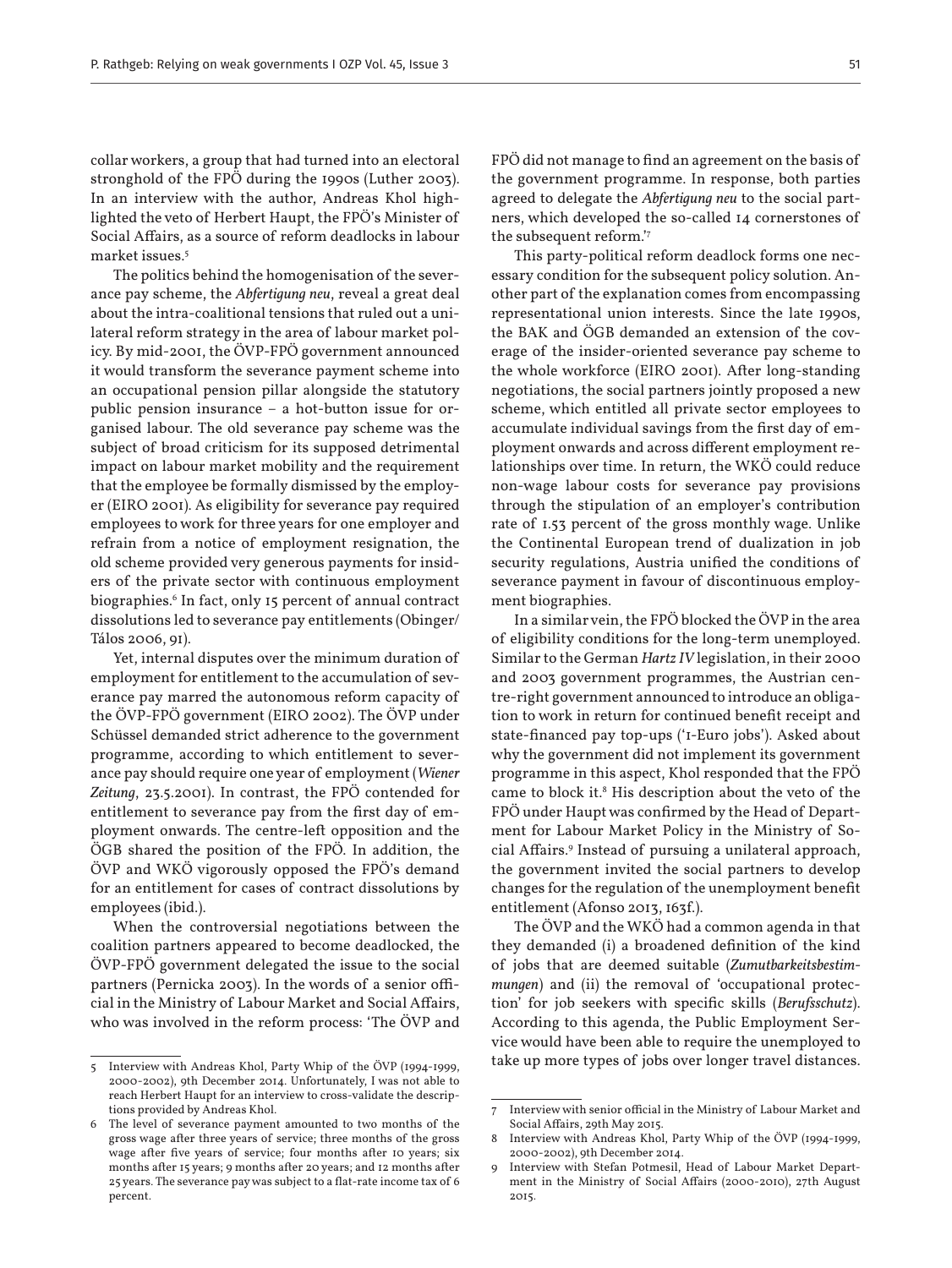collar workers, a group that had turned into an electoral stronghold of the FPÖ during the 1990s (Luther 2003). In an interview with the author, Andreas Khol highlighted the veto of Herbert Haupt, the FPÖ's Minister of Social Affairs, as a source of reform deadlocks in labour market issues.5

The politics behind the homogenisation of the severance pay scheme, the *Abfertigung neu*, reveal a great deal about the intra-coalitional tensions that ruled out a unilateral reform strategy in the area of labour market policy. By mid-2001, the ÖVP-FPÖ government announced it would transform the severance payment scheme into an occupational pension pillar alongside the statutory public pension insurance – a hot-button issue for organised labour. The old severance pay scheme was the subject of broad criticism for its supposed detrimental impact on labour market mobility and the requirement that the employee be formally dismissed by the employer (EIRO 2001). As eligibility for severance pay required employees to work for three years for one employer and refrain from a notice of employment resignation, the old scheme provided very generous payments for insiders of the private sector with continuous employment biographies.<sup>6</sup> In fact, only 15 percent of annual contract dissolutions led to severance pay entitlements (Obinger/ Tálos 2006, 91).

Yet, internal disputes over the minimum duration of employment for entitlement to the accumulation of severance pay marred the autonomous reform capacity of the ÖVP-FPÖ government (EIRO 2002). The ÖVP under Schüssel demanded strict adherence to the government programme, according to which entitlement to severance pay should require one year of employment (*Wiener Zeitung*, 23.5.2001). In contrast, the FPÖ contended for entitlement to severance pay from the first day of employment onwards. The centre-left opposition and the ÖGB shared the position of the FPÖ. In addition, the ÖVP and WKÖ vigorously opposed the FPÖ's demand for an entitlement for cases of contract dissolutions by employees (ibid.).

When the controversial negotiations between the coalition partners appeared to become deadlocked, the ÖVP-FPÖ government delegated the issue to the social partners (Pernicka 2003). In the words of a senior official in the Ministry of Labour Market and Social Affairs, who was involved in the reform process: 'The ÖVP and

FPÖ did not manage to find an agreement on the basis of the government programme. In response, both parties agreed to delegate the *Abfertigung neu* to the social partners, which developed the so-called 14 cornerstones of the subsequent reform.'7

This party-political reform deadlock forms one necessary condition for the subsequent policy solution. Another part of the explanation comes from encompassing representational union interests. Since the late 1990s, the BAK and ÖGB demanded an extension of the coverage of the insider-oriented severance pay scheme to the whole workforce (EIRO 2001). After long-standing negotiations, the social partners jointly proposed a new scheme, which entitled all private sector employees to accumulate individual savings from the first day of employment onwards and across different employment relationships over time. In return, the WKÖ could reduce non-wage labour costs for severance pay provisions through the stipulation of an employer's contribution rate of 1.53 percent of the gross monthly wage. Unlike the Continental European trend of dualization in job security regulations, Austria unified the conditions of severance payment in favour of discontinuous employment biographies.

In a similar vein, the FPÖ blocked the ÖVP in the area of eligibility conditions for the long-term unemployed. Similar to the German *Hartz IV* legislation, in their 2000 and 2003 government programmes, the Austrian centre-right government announced to introduce an obligation to work in return for continued benefit receipt and state-financed pay top-ups ('1-Euro jobs'). Asked about why the government did not implement its government programme in this aspect, Khol responded that the FPÖ came to block it.<sup>8</sup> His description about the veto of the FPÖ under Haupt was confirmed by the Head of Department for Labour Market Policy in the Ministry of Social Affairs.<sup>9</sup> Instead of pursuing a unilateral approach, the government invited the social partners to develop changes for the regulation of the unemployment benefit entitlement (Afonso 2013, 163f.).

The ÖVP and the WKÖ had a common agenda in that they demanded (i) a broadened definition of the kind of jobs that are deemed suitable (*Zumutbarkeitsbestimmungen*) and (ii) the removal of 'occupational protection' for job seekers with specific skills (*Berufsschutz*). According to this agenda, the Public Employment Service would have been able to require the unemployed to take up more types of jobs over longer travel distances.

<sup>5</sup> Interview with Andreas Khol, Party Whip of the ÖVP (1994-1999, 2000-2002), 9th December 2014. Unfortunately, I was not able to reach Herbert Haupt for an interview to cross-validate the descriptions provided by Andreas Khol.

<sup>6</sup> The level of severance payment amounted to two months of the gross wage after three years of service; three months of the gross wage after five years of service; four months after 10 years; six months after 15 years; 9 months after 20 years; and 12 months after 25 years. The severance pay was subject to a flat-rate income tax of 6 percent.

<sup>7</sup> Interview with senior official in the Ministry of Labour Market and Social Affairs, 29th May 2015.

<sup>8</sup> Interview with Andreas Khol, Party Whip of the ÖVP (1994-1999, 2000-2002), 9th December 2014.

<sup>9</sup> Interview with Stefan Potmesil, Head of Labour Market Department in the Ministry of Social Affairs (2000-2010), 27th August 2015.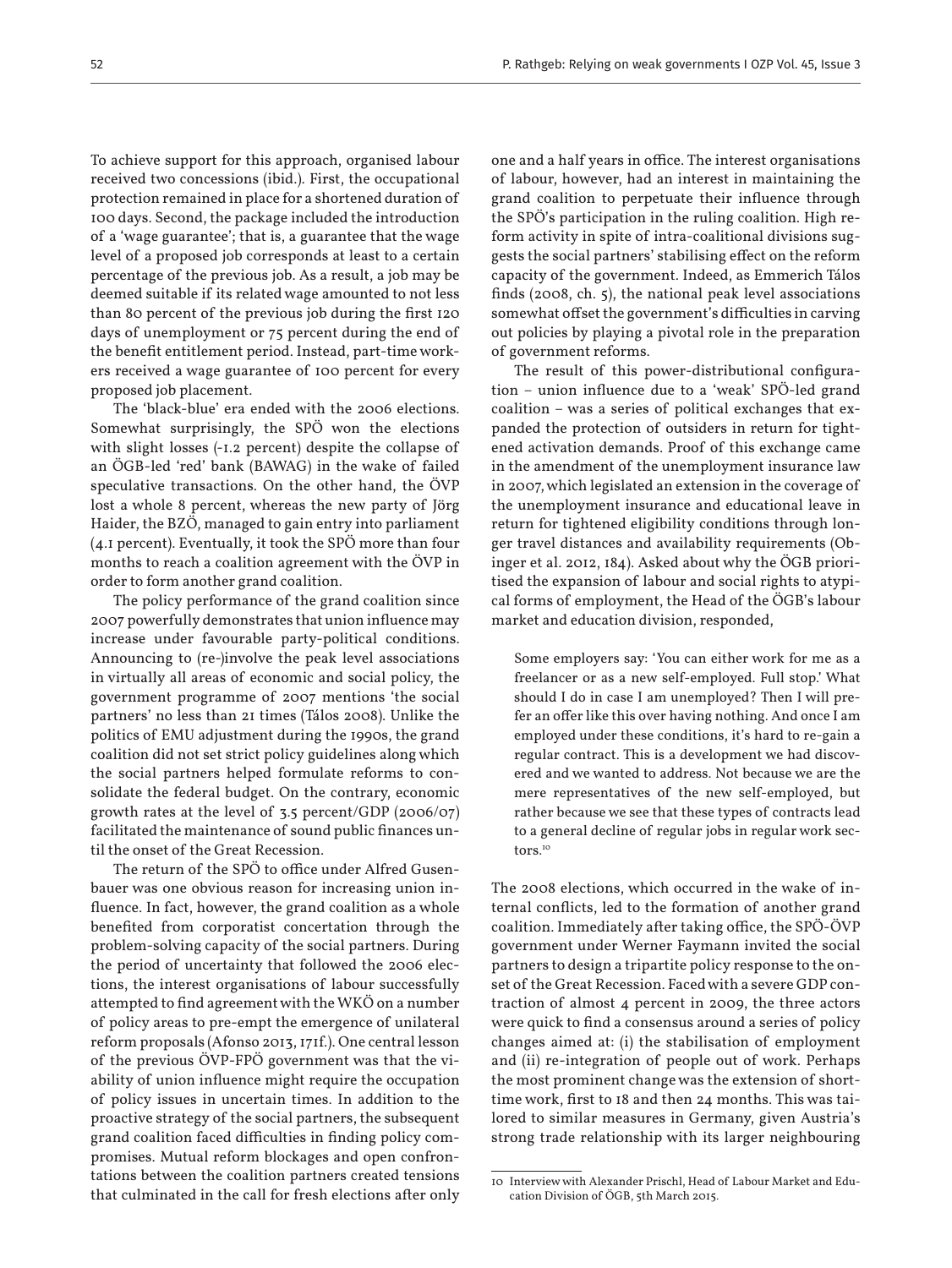To achieve support for this approach, organised labour received two concessions (ibid.). First, the occupational protection remained in place for a shortened duration of 100 days. Second, the package included the introduction of a 'wage guarantee'; that is, a guarantee that the wage level of a proposed job corresponds at least to a certain percentage of the previous job. As a result, a job may be deemed suitable if its related wage amounted to not less than 80 percent of the previous job during the first 120 days of unemployment or 75 percent during the end of the benefit entitlement period. Instead, part-time workers received a wage guarantee of 100 percent for every proposed job placement.

The 'black-blue' era ended with the 2006 elections. Somewhat surprisingly, the SPÖ won the elections with slight losses (-1.2 percent) despite the collapse of an ÖGB-led 'red' bank (BAWAG) in the wake of failed speculative transactions. On the other hand, the ÖVP lost a whole 8 percent, whereas the new party of Jörg Haider, the BZÖ, managed to gain entry into parliament (4.1 percent). Eventually, it took the SPÖ more than four months to reach a coalition agreement with the ÖVP in order to form another grand coalition.

The policy performance of the grand coalition since 2007 powerfully demonstrates that union influence may increase under favourable party-political conditions. Announcing to (re-)involve the peak level associations in virtually all areas of economic and social policy, the government programme of 2007 mentions 'the social partners' no less than 21 times (Tálos 2008). Unlike the politics of EMU adjustment during the 1990s, the grand coalition did not set strict policy guidelines along which the social partners helped formulate reforms to consolidate the federal budget. On the contrary, economic growth rates at the level of 3.5 percent/GDP (2006/07) facilitated the maintenance of sound public finances until the onset of the Great Recession.

The return of the SPÖ to office under Alfred Gusenbauer was one obvious reason for increasing union influence. In fact, however, the grand coalition as a whole benefited from corporatist concertation through the problem-solving capacity of the social partners. During the period of uncertainty that followed the 2006 elections, the interest organisations of labour successfully attempted to find agreement with the WKÖ on a number of policy areas to pre-empt the emergence of unilateral reform proposals (Afonso 2013, 171f.). One central lesson of the previous ÖVP-FPÖ government was that the viability of union influence might require the occupation of policy issues in uncertain times. In addition to the proactive strategy of the social partners, the subsequent grand coalition faced difficulties in finding policy compromises. Mutual reform blockages and open confrontations between the coalition partners created tensions that culminated in the call for fresh elections after only

one and a half years in office. The interest organisations of labour, however, had an interest in maintaining the grand coalition to perpetuate their influence through the SPÖ's participation in the ruling coalition. High reform activity in spite of intra-coalitional divisions suggests the social partners' stabilising effect on the reform capacity of the government. Indeed, as Emmerich Tálos finds (2008, ch. 5), the national peak level associations somewhat offset the government's difficulties in carving out policies by playing a pivotal role in the preparation of government reforms.

The result of this power-distributional configuration – union influence due to a 'weak' SPÖ-led grand coalition – was a series of political exchanges that expanded the protection of outsiders in return for tightened activation demands. Proof of this exchange came in the amendment of the unemployment insurance law in 2007, which legislated an extension in the coverage of the unemployment insurance and educational leave in return for tightened eligibility conditions through longer travel distances and availability requirements (Obinger et al. 2012, 184). Asked about why the ÖGB prioritised the expansion of labour and social rights to atypical forms of employment, the Head of the ÖGB's labour market and education division, responded,

Some employers say: 'You can either work for me as a freelancer or as a new self-employed. Full stop.' What should I do in case I am unemployed? Then I will prefer an offer like this over having nothing. And once I am employed under these conditions, it's hard to re-gain a regular contract. This is a development we had discovered and we wanted to address. Not because we are the mere representatives of the new self-employed, but rather because we see that these types of contracts lead to a general decline of regular jobs in regular work sectors.10

The 2008 elections, which occurred in the wake of internal conflicts, led to the formation of another grand coalition. Immediately after taking office, the SPÖ-ÖVP government under Werner Faymann invited the social partners to design a tripartite policy response to the onset of the Great Recession. Faced with a severe GDP contraction of almost 4 percent in 2009, the three actors were quick to find a consensus around a series of policy changes aimed at: (i) the stabilisation of employment and (ii) re-integration of people out of work. Perhaps the most prominent change was the extension of shorttime work, first to 18 and then 24 months. This was tailored to similar measures in Germany, given Austria's strong trade relationship with its larger neighbouring

<sup>10</sup> Interview with Alexander Prischl, Head of Labour Market and Education Division of ÖGB, 5th March 2015.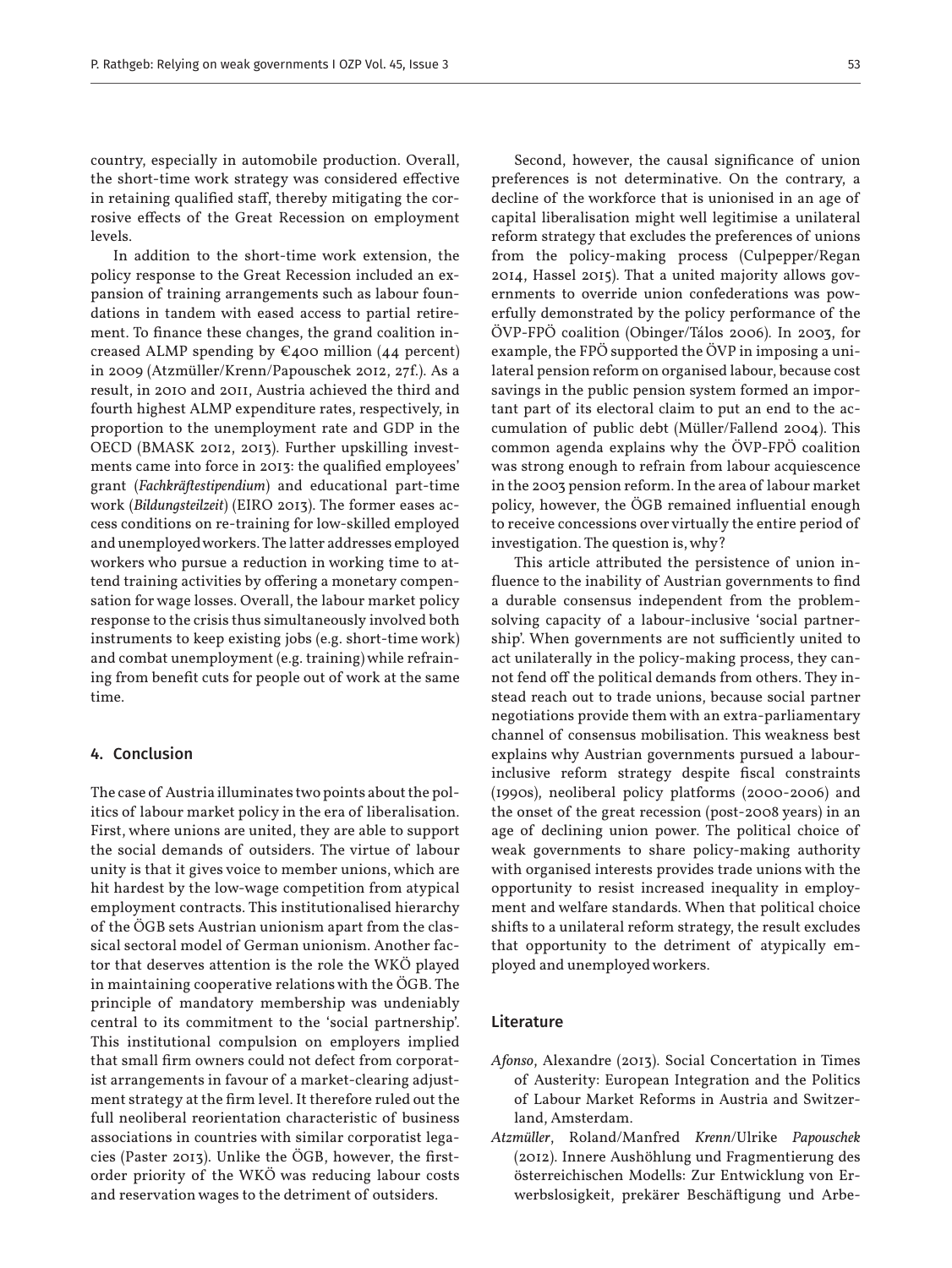country, especially in automobile production. Overall, the short-time work strategy was considered effective in retaining qualified staff, thereby mitigating the corrosive effects of the Great Recession on employment levels.

In addition to the short-time work extension, the policy response to the Great Recession included an expansion of training arrangements such as labour foundations in tandem with eased access to partial retirement. To finance these changes, the grand coalition increased ALMP spending by  $\epsilon$ 400 million (44 percent) in 2009 (Atzmüller/Krenn/Papouschek 2012, 27f.). As a result, in 2010 and 2011, Austria achieved the third and fourth highest ALMP expenditure rates, respectively, in proportion to the unemployment rate and GDP in the OECD (BMASK 2012, 2013). Further upskilling investments came into force in 2013: the qualified employees' grant (*Fachkräftestipendium*) and educational part-time work (*Bildungsteilzeit*) (EIRO 2013). The former eases access conditions on re-training for low-skilled employed and unemployed workers. The latter addresses employed workers who pursue a reduction in working time to attend training activities by offering a monetary compensation for wage losses. Overall, the labour market policy response to the crisis thus simultaneously involved both instruments to keep existing jobs (e.g. short-time work) and combat unemployment (e.g. training) while refraining from benefit cuts for people out of work at the same time.

# 4. Conclusion

The case of Austria illuminates two points about the politics of labour market policy in the era of liberalisation. First, where unions are united, they are able to support the social demands of outsiders. The virtue of labour unity is that it gives voice to member unions, which are hit hardest by the low-wage competition from atypical employment contracts. This institutionalised hierarchy of the ÖGB sets Austrian unionism apart from the classical sectoral model of German unionism. Another factor that deserves attention is the role the WKÖ played in maintaining cooperative relations with the ÖGB. The principle of mandatory membership was undeniably central to its commitment to the 'social partnership'. This institutional compulsion on employers implied that small firm owners could not defect from corporatist arrangements in favour of a market-clearing adjustment strategy at the firm level. It therefore ruled out the full neoliberal reorientation characteristic of business associations in countries with similar corporatist legacies (Paster 2013). Unlike the ÖGB, however, the firstorder priority of the WKÖ was reducing labour costs and reservation wages to the detriment of outsiders.

Second, however, the causal significance of union preferences is not determinative. On the contrary, a decline of the workforce that is unionised in an age of capital liberalisation might well legitimise a unilateral reform strategy that excludes the preferences of unions from the policy-making process (Culpepper/Regan 2014, Hassel 2015). That a united majority allows governments to override union confederations was powerfully demonstrated by the policy performance of the ÖVP-FPÖ coalition (Obinger/Tálos 2006). In 2003, for example, the FPÖ supported the ÖVP in imposing a unilateral pension reform on organised labour, because cost savings in the public pension system formed an important part of its electoral claim to put an end to the accumulation of public debt (Müller/Fallend 2004). This common agenda explains why the ÖVP-FPÖ coalition was strong enough to refrain from labour acquiescence in the 2003 pension reform. In the area of labour market policy, however, the ÖGB remained influential enough to receive concessions over virtually the entire period of investigation. The question is, why?

This article attributed the persistence of union influence to the inability of Austrian governments to find a durable consensus independent from the problemsolving capacity of a labour-inclusive 'social partnership'. When governments are not sufficiently united to act unilaterally in the policy-making process, they cannot fend off the political demands from others. They instead reach out to trade unions, because social partner negotiations provide them with an extra-parliamentary channel of consensus mobilisation. This weakness best explains why Austrian governments pursued a labourinclusive reform strategy despite fiscal constraints (1990s), neoliberal policy platforms (2000-2006) and the onset of the great recession (post-2008 years) in an age of declining union power. The political choice of weak governments to share policy-making authority with organised interests provides trade unions with the opportunity to resist increased inequality in employment and welfare standards. When that political choice shifts to a unilateral reform strategy, the result excludes that opportunity to the detriment of atypically employed and unemployed workers.

#### Literature

- *Afonso*, Alexandre (2013). Social Concertation in Times of Austerity: European Integration and the Politics of Labour Market Reforms in Austria and Switzerland, Amsterdam.
- *Atzmüller*, Roland/Manfred *Krenn*/Ulrike *Papouschek* (2012). Innere Aushöhlung und Fragmentierung des österreichischen Modells: Zur Entwicklung von Erwerbslosigkeit, prekärer Beschäftigung und Arbe-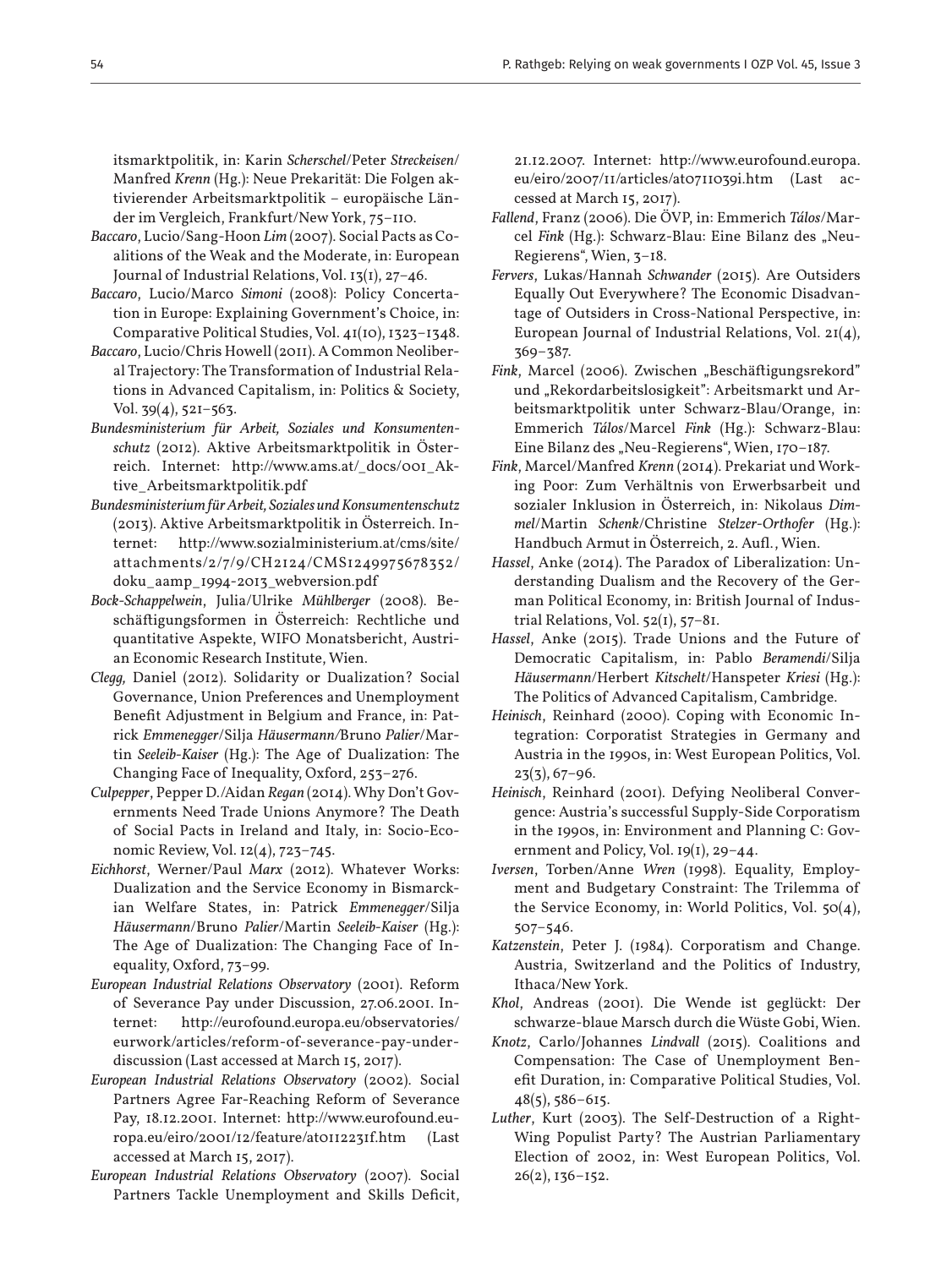itsmarktpolitik, in: Karin *Scherschel*/Peter *Streckeisen*/ Manfred *Krenn* (Hg.): Neue Prekarität: Die Folgen aktivierender Arbeitsmarktpolitik – europäische Länder im Vergleich, Frankfurt/New York, 75–110.

- *Baccaro*, Lucio/Sang-Hoon *Lim* (2007). Social Pacts as Coalitions of the Weak and the Moderate, in: European Journal of Industrial Relations, Vol. 13(1), 27–46.
- *Baccaro*, Lucio/Marco *Simoni* (2008): Policy Concertation in Europe: Explaining Government's Choice, in: Comparative Political Studies, Vol. 41(10), 1323–1348.
- *Baccaro*, Lucio/Chris Howell (2011). A Common Neoliberal Trajectory: The Transformation of Industrial Relations in Advanced Capitalism, in: Politics & Society, Vol. 39(4), 521–563.
- *Bundesministerium für Arbeit, Soziales und Konsumentenschutz* (2012). Aktive Arbeitsmarktpolitik in Österreich. Internet: http://www.ams.at/\_docs/001\_Aktive\_Arbeitsmarktpolitik.pdf
- *Bundesministerium für Arbeit, Soziales und Konsumentenschutz* (2013). Aktive Arbeitsmarktpolitik in Österreich. Internet: http://www.sozialministerium.at/cms/site/ attachments/2/7/9/CH2124/CMS1249975678352/ doku\_aamp\_1994-2013\_webversion.pdf
- *Bock-Schappelwein*, Julia/Ulrike *Mühlberger* (2008). Beschäftigungsformen in Österreich: Rechtliche und quantitative Aspekte, WIFO Monatsbericht, Austrian Economic Research Institute, Wien.
- *Clegg,* Daniel (2012). Solidarity or Dualization? Social Governance, Union Preferences and Unemployment Benefit Adjustment in Belgium and France, in: Patrick *Emmenegger*/Silja *Häusermann/*Bruno *Palier*/Martin *Seeleib-Kaiser* (Hg.): The Age of Dualization: The Changing Face of Inequality, Oxford, 253–276.
- *Culpepper*, Pepper D./Aidan *Regan* (2014). Why Don't Governments Need Trade Unions Anymore? The Death of Social Pacts in Ireland and Italy, in: Socio-Economic Review, Vol. 12(4), 723–745.
- *Eichhorst*, Werner/Paul *Marx* (2012). Whatever Works: Dualization and the Service Economy in Bismarckian Welfare States, in: Patrick *Emmenegger*/Silja *Häusermann*/Bruno *Palier*/Martin *Seeleib-Kaiser* (Hg.): The Age of Dualization: The Changing Face of Inequality, Oxford, 73–99.
- *European Industrial Relations Observatory* (2001). Reform of Severance Pay under Discussion, 27.06.2001. Internet: http://eurofound.europa.eu/observatories/ eurwork/articles/reform-of-severance-pay-underdiscussion (Last accessed at March 15, 2017).
- *European Industrial Relations Observatory* (2002). Social Partners Agree Far-Reaching Reform of Severance Pay, 18.12.2001. Internet: http://www.eurofound.europa.eu/eiro/2001/12/feature/at0112231f.htm (Last accessed at March 15, 2017).
- *European Industrial Relations Observatory* (2007). Social Partners Tackle Unemployment and Skills Deficit,

21.12.2007. Internet: http://www.eurofound.europa. eu/eiro/2007/11/articles/at0711039i.htm (Last accessed at March 15, 2017).

- *Fallend*, Franz (2006). Die ÖVP, in: Emmerich *Tálos*/Marcel Fink (Hg.): Schwarz-Blau: Eine Bilanz des "Neu-Regierens", Wien, 3–18.
- *Fervers*, Lukas/Hannah *Schwander* (2015). Are Outsiders Equally Out Everywhere? The Economic Disadvantage of Outsiders in Cross-National Perspective, in: European Journal of Industrial Relations, Vol. 21(4), 369–387.
- *Fink*, Marcel (2006). Zwischen "Beschäftigungsrekord" und "Rekordarbeitslosigkeit": Arbeitsmarkt und Arbeitsmarktpolitik unter Schwarz-Blau/Orange, in: Emmerich *Tálos*/Marcel *Fink* (Hg.): Schwarz-Blau: Eine Bilanz des "Neu-Regierens", Wien, 170-187.
- *Fink*, Marcel/Manfred *Krenn* (2014). Prekariat und Working Poor: Zum Verhältnis von Erwerbsarbeit und sozialer Inklusion in Österreich, in: Nikolaus *Dimmel*/Martin *Schenk*/Christine *Stelzer-Orthofer* (Hg.): Handbuch Armut in Österreich, 2. Aufl., Wien.
- *Hassel*, Anke (2014). The Paradox of Liberalization: Understanding Dualism and the Recovery of the German Political Economy, in: British Journal of Industrial Relations, Vol. 52(1), 57–81.
- *Hassel*, Anke (2015). Trade Unions and the Future of Democratic Capitalism, in: Pablo *Beramendi*/Silja *Häusermann*/Herbert *Kitschelt*/Hanspeter *Kriesi* (Hg.): The Politics of Advanced Capitalism, Cambridge.
- *Heinisch*, Reinhard (2000). Coping with Economic Integration: Corporatist Strategies in Germany and Austria in the 1990s, in: West European Politics, Vol.  $23(3), 67-96.$
- *Heinisch*, Reinhard (2001). Defying Neoliberal Convergence: Austria's successful Supply-Side Corporatism in the 1990s, in: Environment and Planning C: Government and Policy, Vol. 19(1), 29–44.
- *Iversen*, Torben/Anne *Wren* (1998). Equality, Employment and Budgetary Constraint: The Trilemma of the Service Economy, in: World Politics, Vol.  $50(4)$ , 507–546.
- *Katzenstein*, Peter J. (1984). Corporatism and Change. Austria, Switzerland and the Politics of Industry, Ithaca/New York.
- *Khol*, Andreas (2001). Die Wende ist geglückt: Der schwarze-blaue Marsch durch die Wüste Gobi, Wien.
- *Knotz*, Carlo/Johannes *Lindvall* (2015). Coalitions and Compensation: The Case of Unemployment Benefit Duration, in: Comparative Political Studies, Vol. 48(5), 586–615.
- *Luther*, Kurt (2003). The Self-Destruction of a Right-Wing Populist Party? The Austrian Parliamentary Election of 2002, in: West European Politics, Vol.  $26(2)$ , 136–152.